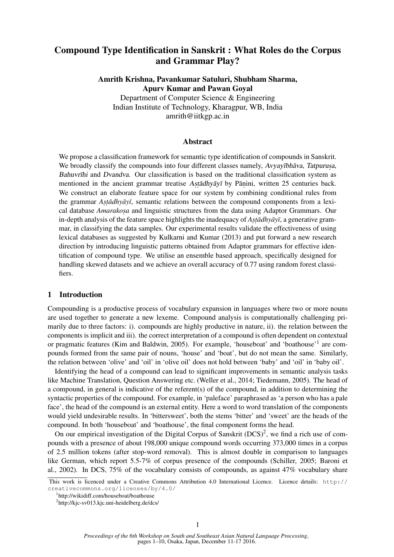# Compound Type Identification in Sanskrit : What Roles do the Corpus and Grammar Play?

Amrith Krishna, Pavankumar Satuluri, Shubham Sharma, Apurv Kumar and Pawan Goyal Department of Computer Science & Engineering Indian Institute of Technology, Kharagpur, WB, India amrith@iitkgp.ac.in

#### Abstract

We propose a classification framework for semantic type identification of compounds in Sanskrit. We broadly classify the compounds into four different classes namely, Avyayībhāva, Tatpurusa, Bahuvrīhi and Dvandva. Our classification is based on the traditional classification system as mentioned in the ancient grammar treatise Astadhyayī by Panini, written 25 centuries back. We construct an elaborate feature space for our system by combining conditional rules from the grammar *Astādhyāyī*, semantic relations between the compound components from a lexical database *Amarakosa* and linguistic structures from the data using Adaptor Grammars. Our in-depth analysis of the feature space highlights the inadequacy of *Astadhyayi*, a generative grammar, in classifying the data samples. Our experimental results validate the effectiveness of using lexical databases as suggested by Kulkarni and Kumar (2013) and put forward a new research direction by introducing linguistic patterns obtained from Adaptor grammars for effective identification of compound type. We utilise an ensemble based approach, specifically designed for handling skewed datasets and we achieve an overall accuracy of 0.77 using random forest classifiers.

#### 1 Introduction

Compounding is a productive process of vocabulary expansion in languages where two or more nouns are used together to generate a new lexeme. Compound analysis is computationally challenging primarily due to three factors: i). compounds are highly productive in nature, ii). the relation between the components is implicit and iii). the correct interpretation of a compound is often dependent on contextual or pragmatic features (Kim and Baldwin, 2005). For example, 'houseboat' and 'boathouse'<sup>1</sup> are compounds formed from the same pair of nouns, 'house' and 'boat', but do not mean the same. Similarly, the relation between 'olive' and 'oil' in 'olive oil' does not hold between 'baby' and 'oil' in 'baby oil'.

Identifying the head of a compound can lead to significant improvements in semantic analysis tasks like Machine Translation, Question Answering etc. (Weller et al., 2014; Tiedemann, 2005). The head of a compound, in general is indicative of the referent(s) of the compound, in addition to determining the syntactic properties of the compound. For example, in 'paleface' paraphrased as 'a person who has a pale face', the head of the compound is an external entity. Here a word to word translation of the components would yield undesirable results. In 'bittersweet', both the stems 'bitter' and 'sweet' are the heads of the compound. In both 'houseboat' and 'boathouse', the final component forms the head.

On our empirical investigation of the Digital Corpus of Sanskrit (DCS)<sup>2</sup>, we find a rich use of compounds with a presence of about 198,000 unique compound words occurring 373,000 times in a corpus of 2.5 million tokens (after stop-word removal). This is almost double in comparison to languages like German, which report 5.5-7% of corpus presence of the compounds (Schiller, 2005; Baroni et al., 2002). In DCS, 75% of the vocabulary consists of compounds, as against 47% vocabulary share

This work is licenced under a Creative Commons Attribution 4.0 International Licence. Licence details: http:// creativecommons.org/licenses/by/4.0/

<sup>1</sup> http://wikidiff.com/houseboat/boathouse

<sup>&</sup>lt;sup>2</sup>http://kjc-sv013.kjc.uni-heidelberg.de/dcs/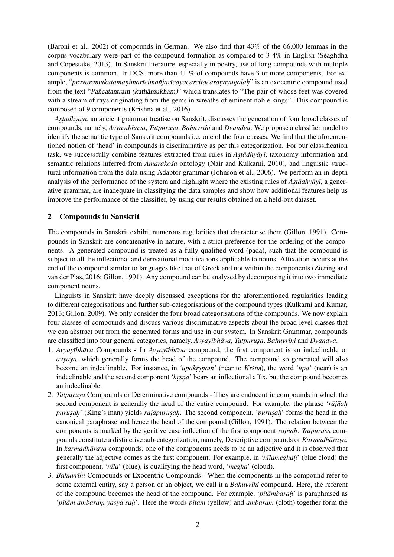(Baroni et al., 2002) of compounds in German. We also find that 43% of the 66,000 lemmas in the corpus vocabulary were part of the compound formation as compared to  $3-4\%$  in English (Séaghdha and Copestake, 2013). In Sanskrit literature, especially in poetry, use of long compounds with multiple components is common. In DCS, more than 41 % of compounds have 3 or more components. For example, "pravaramukuṭamaṇimarīcimañjarīcayacarcitacaraṇayugalaḥ" is an exocentric compound used from the text "Pañcatantram (kath āmukham)" which translates to "The pair of whose feet was covered with a stream of rays originating from the gems in wreaths of eminent noble kings". This compound is composed of 9 components (Krishna et al., 2016).

Astadhyayī, an ancient grammar treatise on Sanskrit, discusses the generation of four broad classes of compounds, namely, *Avyayībhāva*, *Tatpurusa*, *Bahuvrīhi* and *Dvandva*. We propose a classifier model to identify the semantic type of Sanskrit compounds i.e. one of the four classes. We find that the aforementioned notion of 'head' in compounds is discriminative as per this categorization. For our classification task, we successfully combine features extracted from rules in *Astadhyayi*, taxonomy information and semantic relations inferred from *Amarakosa´* ontology (Nair and Kulkarni, 2010), and linguistic structural information from the data using Adaptor grammar (Johnson et al., 2006). We perform an in-depth analysis of the performance of the system and highlight where the existing rules of *Astadhyay*, a generative grammar, are inadequate in classifying the data samples and show how additional features help us improve the performance of the classifier, by using our results obtained on a held-out dataset.

#### 2 Compounds in Sanskrit

The compounds in Sanskrit exhibit numerous regularities that characterise them (Gillon, 1991). Compounds in Sanskrit are concatenative in nature, with a strict preference for the ordering of the components. A generated compound is treated as a fully qualified word (pada), such that the compound is subject to all the inflectional and derivational modifications applicable to nouns. Affixation occurs at the end of the compound similar to languages like that of Greek and not within the components (Ziering and van der Plas, 2016; Gillon, 1991). Any compound can be analysed by decomposing it into two immediate component nouns.

Linguists in Sanskrit have deeply discussed exceptions for the aforementioned regularities leading to different categorisations and further sub-categorisations of the compound types (Kulkarni and Kumar, 2013; Gillon, 2009). We only consider the four broad categorisations of the compounds. We now explain four classes of compounds and discuss various discriminative aspects about the broad level classes that we can abstract out from the generated forms and use in our system. In Sanskrit Grammar, compounds are classified into four general categories, namely,  $Avyay\bar{v}hh\bar{a}v\bar{a}$ ,  $Tatpurusa$ ,  $Bahuvr\bar{t}hi$  and  $Dvandva$ .

- 1. *Avyayībhāva* Compounds In *Avyayībhāva* compound, the first component is an indeclinable or *avyaya*, which generally forms the head of the compound. The compound so generated will also become an indeclinable. For instance, in *'upakrsnam'* (near to *Krsna*), the word *'upa'* (near) is an indeclinable and the second component '*krsna*' bears an inflectional affix, but the compound becomes an indeclinable.
- 2. *Tatpurusa* Compounds or Determinative compounds They are endocentric compounds in which the second component is generally the head of the entire compound. For example, the phrase '*rājñah purusah*' (King's man) yields *rājapurusah*. The second component, '*purusah*' forms the head in the canonical paraphrase and hence the head of the compound (Gillon, 1991). The relation between the components is marked by the genitive case inflection of the first component *rājñah*. *Tatpurusa* compounds constitute a distinctive sub-categorization, namely, Descriptive compounds or *Karmadhāraya*. In *karmadhāraya* compounds, one of the components needs to be an adjective and it is observed that generally the adjective comes as the first component. For example, in '*nīlameghah*' (blue cloud) the first component, '*nīla*' (blue), is qualifying the head word, '*megha*' (cloud).
- 3. *Bahuvr¯ıhi* Compounds or Exocentric Compounds When the components in the compound refer to some external entity, say a person or an object, we call it a *Bahuvrīhi* compound. Here, the referent of the compound becomes the head of the compound. For example, '*p* $\bar{t}$  *ambarah*' is paraphrased as '*pītām ambaram yasya sah*'. Here the words *pītam* (yellow) and *ambaram* (cloth) together form the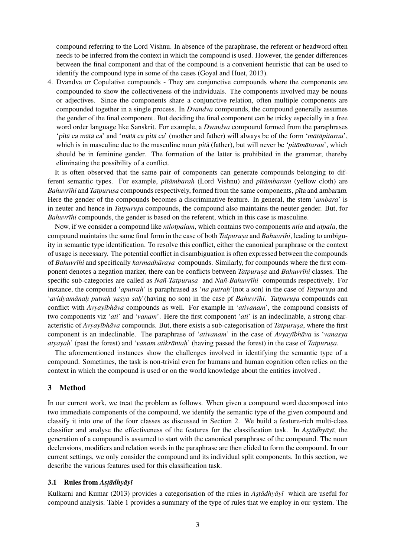compound referring to the Lord Vishnu. In absence of the paraphrase, the referent or headword often needs to be inferred from the context in which the compound is used. However, the gender differences between the final component and that of the compound is a convenient heuristic that can be used to identify the compound type in some of the cases (Goyal and Huet, 2013).

4. Dvandva or Copulative compounds - They are conjunctive compounds where the components are compounded to show the collectiveness of the individuals. The components involved may be nouns or adjectives. Since the components share a conjunctive relation, often multiple components are compounded together in a single process. In *Dvandva* compounds, the compound generally assumes the gender of the final component. But deciding the final component can be tricky especially in a free word order language like Sanskrit. For example, a *Dvandva* compound formed from the paraphrases 'pita ca mata ca' and 'mata ca pita ca' (mother and father) will always be of the form '*matapitarau*', which is in masculine due to the masculine noun *pita* (father), but will never be '*pitamatarau*', which should be in feminine gender. The formation of the latter is prohibited in the grammar, thereby eliminating the possibility of a conflict.

It is often observed that the same pair of components can generate compounds belonging to different semantic types. For example, *pītāmbarah (Lord Vishnu)* and *pītāmbaram (yellow cloth)* are *Bahuvrīhi* and *Tatpurusa* compounds respectively, formed from the same components, pīta and ambaram. Here the gender of the compounds becomes a discriminative feature. In general, the stem '*ambara*' is in neuter and hence in *Tatpurusa* compounds, the compound also maintains the neuter gender. But, for *Bahuvrīhi* compounds, the gender is based on the referent, which in this case is masculine.

Now, if we consider a compound like *n¯ılotpalam*, which contains two components *n¯ıla* and *utpala*, the compound maintains the same final form in the case of both *Tatpurusa* and *Bahuvrīhi*, leading to ambiguity in semantic type identification. To resolve this conflict, either the canonical paraphrase or the context of usage is necessary. The potential conflict in disambiguation is often expressed between the compounds of *Bahuvrīhi* and specifically *karmadhāraya* compounds. Similarly, for compounds where the first component denotes a negation marker, there can be conflicts between *Tatpurusa* and *Bahuvrīhi* classes. The specific sub-categories are called as *Nañ*-*Tatpurusa* and *Nañ-Bahuvrīhi* compounds respectively. For instance, the compound '*aputrah*' is paraphrased as '*na putrah*' (not a son) in the case of *Tatpurusa* and '*avidyamānaḥ putraḥ yasya saḥ'*(having no son) in the case pf *Bahuvrīhi. Tatpurusa* compounds can conflict with *Avyayībhāva* compounds as well. For example in '*ativanam*', the compound consists of two components viz '*ati*' and '*vanam*'. Here the first component '*ati*' is an indeclinable, a strong characteristic of *Avyayībhāva* compounds. But, there exists a sub-categorisation of *Tatpurusa*, where the first component is an indeclinable. The paraphrase of 'ativanam' in the case of *Avyayībhāva* is '*vanasya atyayah*' (past the forest) and '*vanam atikrāntaḥ*' (having passed the forest) in the case of *Tatpurusa*.

The aforementioned instances show the challenges involved in identifying the semantic type of a compound. Sometimes, the task is non-trivial even for humans and human cognition often relies on the context in which the compound is used or on the world knowledge about the entities involved .

#### 3 Method

In our current work, we treat the problem as follows. When given a compound word decomposed into two immediate components of the compound, we identify the semantic type of the given compound and classify it into one of the four classes as discussed in Section 2. We build a feature-rich multi-class classifier and analyse the effectiveness of the features for the classification task. In *Astadhyayi*, the generation of a compound is assumed to start with the canonical paraphrase of the compound. The noun declensions, modifiers and relation words in the paraphrase are then elided to form the compound. In our current settings, we only consider the compound and its individual split components. In this section, we describe the various features used for this classification task.

# 3.1 Rules from *Astadhyayi*

Kulkarni and Kumar (2013) provides a categorisation of the rules in *Astadhyay i* which are useful for compound analysis. Table 1 provides a summary of the type of rules that we employ in our system. The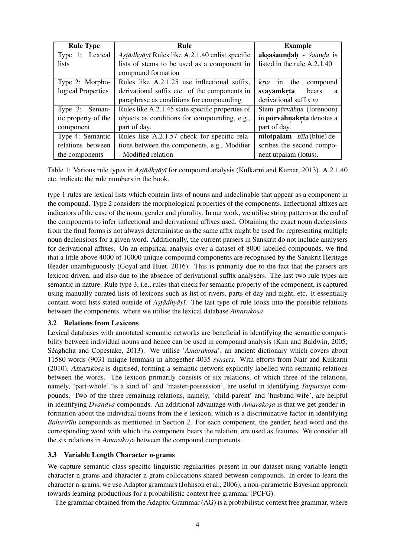| <b>Rule Type</b>    | <b>Rule</b>                                      | <b>Example</b>                  |  |  |  |
|---------------------|--------------------------------------------------|---------------------------------|--|--|--|
| Type 1: Lexical     | Astādhyāyī Rules like A.2.1.40 enlist specific   | aksaśaundah - śaunda is         |  |  |  |
| <i>lists</i>        | lists of stems to be used as a component in      | listed in the rule A.2.1.40     |  |  |  |
|                     | compound formation                               |                                 |  |  |  |
| Type 2: Morpho-     | Rules like A.2.1.25 use inflectional suffix,     | krta in the<br>compound         |  |  |  |
| logical Properties  | derivational suffix etc. of the components in    | svayamkrta<br>bears<br>a        |  |  |  |
|                     | paraphrase as conditions for compounding         | derivational suffix ta.         |  |  |  |
| Type 3: Seman-      | Rules like A.2.1.45 state specific properties of | Stem pūrvāhna (forenoon)        |  |  |  |
| tic property of the | objects as conditions for compounding, e.g.,     | in pūrvāhnakrta denotes a       |  |  |  |
| component           | part of day.                                     | part of day.                    |  |  |  |
| Type 4: Semantic    | Rules like A.2.1.57 check for specific rela-     | $nilotpalam - nlila$ (blue) de- |  |  |  |
| relations between   | tions between the components, e.g., Modifier     | scribes the second compo-       |  |  |  |
| the components      | - Modified relation                              | nent utpalam (lotus).           |  |  |  |

Table 1: Various rule types in *Astadhyayī* for compound analysis (Kulkarni and Kumar, 2013). A.2.1.40 etc. indicate the rule numbers in the book.

type 1 rules are lexical lists which contain lists of nouns and indeclinable that appear as a component in the compound. Type 2 considers the morphological properties of the components. Inflectional affixes are indicators of the case of the noun, gender and plurality. In our work, we utilise string patterns at the end of the components to infer inflectional and derivational affixes used. Obtaining the exact noun declensions from the final forms is not always deterministic as the same affix might be used for representing multiple noun declensions for a given word. Additionally, the current parsers in Sanskrit do not include analysers for derivational affixes. On an empirical analysis over a dataset of 8000 labelled compounds, we find that a little above 4000 of 10000 unique compound components are recognised by the Sanskrit Heritage Reader unambiguously (Goyal and Huet, 2016). This is primarily due to the fact that the parsers are lexicon driven, and also due to the absence of derivational suffix analysers. The last two rule types are semantic in nature. Rule type 3, i.e., rules that check for semantic property of the component, is captured using manually curated lists of lexicons such as list of rivers, parts of day and night, etc. It essentially contain word lists stated outside of *Astadhyayī*. The last type of rule looks into the possible relations between the components. where we utilise the lexical database *Amarakosa*.

#### 3.2 Relations from Lexicons

Lexical databases with annotated semantic networks are beneficial in identifying the semantic compatibility between individual nouns and hence can be used in compound analysis (Kim and Baldwin, 2005; Séaghdha and Copestake, 2013). We utilise 'Amarakosa', an ancient dictionary which covers about 11580 words (9031 unique lemmas) in altogether 4035 *synsets*. With efforts from Nair and Kulkarni (2010), Amarakosa is digitised, forming a semantic network explicitly labelled with semantic relations between the words. The lexicon primarily consists of six relations, of which three of the relations, namely, 'part-whole', 'is a kind of' and 'master-possession', are useful in identifying *Tatpurusa* compounds. Two of the three remaining relations, namely, 'child-parent' and 'husband-wife', are helpful in identifying *Dvandva* compounds. An additional advantage with *Amarakosa* is that we get gender information about the individual nouns from the e-lexicon, which is a discriminative factor in identifying *Bahuvrīhi* compounds as mentioned in Section 2. For each component, the gender, head word and the corresponding word with which the component bears the relation, are used as features. We consider all the six relations in *Amarakosa* between the compound components.

#### 3.3 Variable Length Character n-grams

We capture semantic class specific linguistic regularities present in our dataset using variable length character n-grams and character n-gram collocations shared between compounds. In order to learn the character n-grams, we use Adaptor grammars (Johnson et al., 2006), a non-parametric Bayesian approach towards learning productions for a probabilistic context free grammar (PCFG).

The grammar obtained from the Adaptor Grammar (AG) is a probabilistic context free grammar, where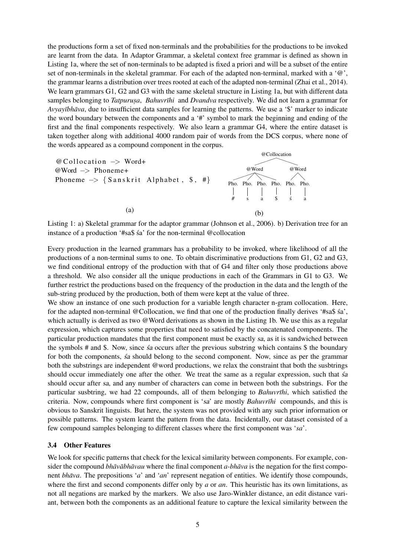the productions form a set of fixed non-terminals and the probabilities for the productions to be invoked are learnt from the data. In Adaptor Grammar, a skeletal context free grammar is defined as shown in Listing 1a, where the set of non-terminals to be adapted is fixed a priori and will be a subset of the entire set of non-terminals in the skeletal grammar. For each of the adapted non-terminal, marked with a '@', the grammar learns a distribution over trees rooted at each of the adapted non-terminal (Zhai et al., 2014). We learn grammars G1, G2 and G3 with the same skeletal structure in Listing 1a, but with different data samples belonging to *Tatpurusa*, *Bahuvrīhi* and *Dvandva* respectively. We did not learn a grammar for *Avyayībhāva*, due to insufficient data samples for learning the patterns. We use a '\$' marker to indicate the word boundary between the components and a '#' symbol to mark the beginning and ending of the first and the final components respectively. We also learn a grammar G4, where the entire dataset is taken together along with additional 4000 random pair of words from the DCS corpus, where none of the words appeared as a compound component in the corpus.



Listing 1: a) Skeletal grammar for the adaptor grammar (Johnson et al., 2006). b) Derivation tree for an instance of a production '#sa\$ sa' for the non-terminal @collocation ´

Every production in the learned grammars has a probability to be invoked, where likelihood of all the productions of a non-terminal sums to one. To obtain discriminative productions from G1, G2 and G3, we find conditional entropy of the production with that of G4 and filter only those productions above a threshold. We also consider all the unique productions in each of the Grammars in G1 to G3. We further restrict the productions based on the frequency of the production in the data and the length of the sub-string produced by the production, both of them were kept at the value of three.

We show an instance of one such production for a variable length character n-gram collocation. Here, for the adapted non-terminal @Collocation, we find that one of the production finally derives '#sa\$ sa', ´ which actually is derived as two @Word derivations as shown in the Listing 1b. We use this as a regular expression, which captures some properties that need to satisfied by the concatenated components. The particular production mandates that the first component must be exactly sa, as it is sandwiched between the symbols # and \$. Now, since  $\acute{a}$  occurs after the previous substring which contains \$ the boundary for both the components, *sa* should belong to the second component. Now, since as per the grammar both the substrings are independent @word productions, we relax the constraint that both the susbtrings should occur immediately one after the other. We treat the same as a regular expression, such that sa should occur after sa, and any number of characters can come in between both the substrings. For the particular susbtring, we had 22 compounds, all of them belonging to *Bahuvrīhi*, which satisfied the criteria. Now, compounds where first component is 'sa' are mostly *Bahuvrīhi* compounds, and this is obvious to Sanskrit linguists. But here, the system was not provided with any such prior information or possible patterns. The system learnt the pattern from the data. Incidentally, our dataset consisted of a few compound samples belonging to different classes where the first component was '*sa*'.

#### 3.4 Other Features

We look for specific patterns that check for the lexical similarity between components. For example, consider the compound *bhāvābhāvau* where the final component *a-bhāva* is the negation for the first component *bhāva*. The prepositions '*a*' and '*an*' represent negation of entities. We identify those compounds, where the first and second components differ only by *a* or *an*. This heuristic has its own limitations, as not all negations are marked by the markers. We also use Jaro-Winkler distance, an edit distance variant, between both the components as an additional feature to capture the lexical similarity between the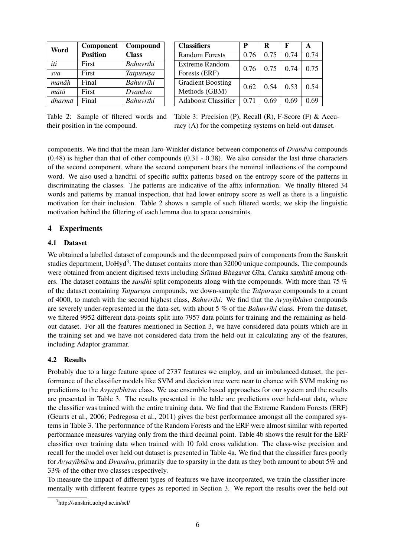| Word   | Component       | Compound         |  |  |
|--------|-----------------|------------------|--|--|
|        | <b>Position</b> | <b>Class</b>     |  |  |
| iti    | First           | Bahuvrīhi        |  |  |
| sva    | First           | <b>Tatpurusa</b> |  |  |
| manāh  | Final           | Bahuvrīhi        |  |  |
| mātā   | First           | Dvandva          |  |  |
| dharmā | Final           | Bahuvrīhi        |  |  |

| <b>Classifiers</b>         | P    | R    | F    | A    |  |
|----------------------------|------|------|------|------|--|
| <b>Random Forests</b>      | 0.76 | 0.75 | 0.74 | 0.74 |  |
| Extreme Random             | 0.76 | 0.75 | 0.74 | 0.75 |  |
| Forests (ERF)              |      |      |      |      |  |
| <b>Gradient Boosting</b>   | 0.62 | 0.54 | 0.53 | 0.54 |  |
| Methods (GBM)              |      |      |      |      |  |
| <b>Adaboost Classifier</b> | 0.71 | 0.69 | 0.69 | 69   |  |

Table 2: Sample of filtered words and their position in the compound.

Table 3: Precision (P), Recall (R), F-Score (F) & Accuracy (A) for the competing systems on held-out dataset.

components. We find that the mean Jaro-Winkler distance between components of *Dvandva* compounds (0.48) is higher than that of other compounds (0.31 - 0.38). We also consider the last three characters of the second component, where the second component bears the nominal inflections of the compound word. We also used a handful of specific suffix patterns based on the entropy score of the patterns in discriminating the classes. The patterns are indicative of the affix information. We finally filtered 34 words and patterns by manual inspection, that had lower entropy score as well as there is a linguistic motivation for their inclusion. Table 2 shows a sample of such filtered words; we skip the linguistic motivation behind the filtering of each lemma due to space constraints.

## 4 Experiments

### 4.1 Dataset

We obtained a labelled dataset of compounds and the decomposed pairs of components from the Sanskrit studies department, UoHyd<sup>3</sup>. The dataset contains more than 32000 unique compounds. The compounds were obtained from ancient digitised texts including  $S_{\text{r} \bar{\text{t}}}$  and Bhagavat G $\bar{\text{t}}$ ta, Caraka samhita among others. The dataset contains the *sandhi* split components along with the compounds. With more than 75 % of the dataset containing *Tatpurusa* compounds, we down-sample the *Tatpurusa* compounds to a count of 4000, to match with the second highest class, *Bahuvrīhi*. We find that the *Avyayībhāva* compounds are severely under-represented in the data-set, with about 5 % of the *Bahuvrīhi* class. From the dataset, we filtered 9952 different data-points split into 7957 data points for training and the remaining as heldout dataset. For all the features mentioned in Section 3, we have considered data points which are in the training set and we have not considered data from the held-out in calculating any of the features, including Adaptor grammar.

## 4.2 Results

Probably due to a large feature space of 2737 features we employ, and an imbalanced dataset, the performance of the classifier models like SVM and decision tree were near to chance with SVM making no predictions to the *Avyayībhāva* class. We use ensemble based approaches for our system and the results are presented in Table 3. The results presented in the table are predictions over held-out data, where the classifier was trained with the entire training data. We find that the Extreme Random Forests (ERF) (Geurts et al., 2006; Pedregosa et al., 2011) gives the best performance amongst all the compared systems in Table 3. The performance of the Random Forests and the ERF were almost similar with reported performance measures varying only from the third decimal point. Table 4b shows the result for the ERF classifier over training data when trained with 10 fold cross validation. The class-wise precision and recall for the model over held out dataset is presented in Table 4a. We find that the classifier fares poorly for *Avyayībhāva* and *Dvandva*, primarily due to sparsity in the data as they both amount to about 5% and 33% of the other two classes respectively.

To measure the impact of different types of features we have incorporated, we train the classifier incrementally with different feature types as reported in Section 3. We report the results over the held-out

<sup>3</sup> http://sanskrit.uohyd.ac.in/scl/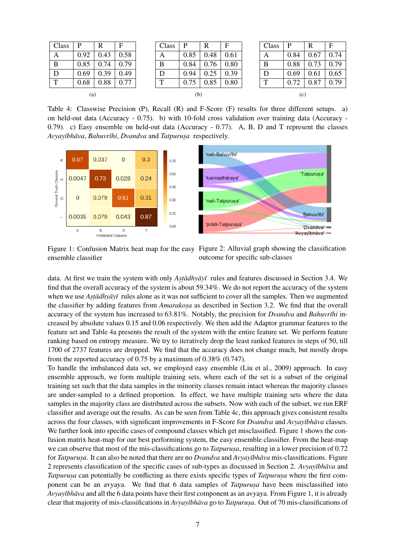| Class | P    | R    | F    |  | Class | P    | R    | $\mathbf F$ | Class | P    | R    | F    |
|-------|------|------|------|--|-------|------|------|-------------|-------|------|------|------|
| A     | 0.92 | 0.43 | 0.58 |  | A     | 0.85 | 0.48 | 0.61        | A     | 0.84 | 0.67 | 0.74 |
| B     | 0.85 | 0.74 | 0.79 |  | B     | 0.84 | 0.76 | 0.80        | B     | 0.88 | 0.73 | 0.79 |
| D     | 0.69 | 0.39 | 0.49 |  | D     | 0.94 | 0.25 | 0.39        | D     | 0.69 | 0.61 | 0.65 |
| T     | 0.68 | 0.88 | 0.77 |  | T     | 0.75 | 0.85 | 0.80        | m     | 0.72 | 0.87 | 0.79 |
| (a)   |      |      | (b)  |  |       |      | (c)  |             |       |      |      |      |

Table 4: Classwise Precision (P), Recall (R) and F-Score (F) results for three different setups. a) on held-out data (Accuracy - 0.75). b) with 10-fold cross validation over training data (Accuracy - 0.79). c) Easy ensemble on held-out data (Accuracy - 0.77). A, B, D and T represent the classes  $A$ *vvavībhāva, Bahuvrīhi, Dvandva* and *Tatpurusa* respectively.



Figure 1: Confusion Matrix heat map for the easy Figure 2: Alluvial graph showing the classification ensemble classifier outcome for specific sub-classes

data. At first we train the system with only *Astadhyayī* rules and features discussed in Section 3.4. We find that the overall accuracy of the system is about 59.34%. We do not report the accuracy of the system when we use *Astadhyayī* rules alone as it was not sufficient to cover all the samples. Then we augmented the classifier by adding features from *Amarakosa* as described in Section 3.2. We find that the overall accuracy of the system has increased to 63.81%. Notably, the precision for *Dvandva* and *Bahuvrīhi* increased by absolute values 0.15 and 0.06 respectively. We then add the Adaptor grammar features to the feature set and Table 4a presents the result of the system with the entire feature set. We perform feature ranking based on entropy measure. We try to iteratively drop the least ranked features in steps of 50, till 1700 of 2737 features are dropped. We find that the accuracy does not change much, but mostly drops from the reported accuracy of 0.75 by a maximum of 0.38% (0.747).

To handle the imbalanced data set, we employed easy ensemble (Liu et al., 2009) approach. In easy ensemble approach, we form multiple training sets, where each of the set is a subset of the original training set such that the data samples in the minority classes remain intact whereas the majority classes are under-sampled to a defined proportion. In effect, we have multiple training sets where the data samples in the majority class are distributed across the subsets. Now with each of the subset, we run ERF classifier and average out the results. As can be seen from Table 4c, this approach gives consistent results across the four classes, with significant improvements in F-Score for *Dvandva* and *Avyayībhāva* classes. We further look into specific cases of compound classes which get misclassified. Figure 1 shows the confusion matrix heat-map for our best performing system, the easy ensemble classifier. From the heat-map we can observe that most of the mis-classifications go to *Tatpurusa*, resulting in a lower precision of 0.72 for *Tatpurusa*. It can also be noted that there are no *Dvandva* and *Avyayībhāva* mis-classifications. Figure 2 represents classification of the specific cases of sub-types as discussed in Section 2. *Avyayībhāva* and *Tatpurusa* can potentially be conflicting as there exists specific types of *Tatpurusa* where the first component can be an *avyaya*. We find that 6 data samples of *Tatpurusa* have been misclassified into *Avyayībhāva* and all the 6 data points have their first component as an *avyaya*. From Figure 1, it is already clear that majority of mis-classifications in *Avyayībhāva* go to *Tatpurusa*. Out of 70 mis-classifications of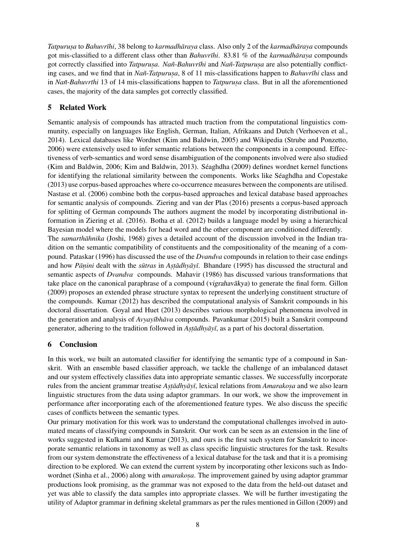*Tatpurusa* to *Bahuvrīhi*, 38 belong to *karmadhāraya* class. Also only 2 of the *karmadhāraya* compounds got mis-classified to a different class other than *Bahuvrīhi*. 83.81 % of the *karmadhāraya* compounds got correctly classified into *Tatpurusa*. *Nañ*-*Bahuvrīhi* and *Nañ*-*Tatpurusa* are also potentially conflicting cases, and we find that in *Nañ*-*Tatpurusa*, 8 of 11 mis-classifications happen to *Bahuvrīhi* class and in *Nañ*-*Bahuvrīhi* 13 of 14 mis-classifications happen to *Tatpurusa* class. But in all the aforementioned cases, the majority of the data samples got correctly classified.

# 5 Related Work

Semantic analysis of compounds has attracted much traction from the computational linguistics community, especially on languages like English, German, Italian, Afrikaans and Dutch (Verhoeven et al., 2014). Lexical databases like Wordnet (Kim and Baldwin, 2005) and Wikipedia (Strube and Ponzetto, 2006) were extensively used to infer semantic relations between the components in a compound. Effectiveness of verb-semantics and word sense disambiguation of the components involved were also studied (Kim and Baldwin, 2006; Kim and Baldwin, 2013). Seaghdha (2009) defines wordnet kernel functions ´ for identifying the relational similarity between the components. Works like Séaghdha and Copestake (2013) use corpus-based approaches where co-occurrence measures between the components are utilised. Nastase et al. (2006) combine both the corpus-based approaches and lexical database based approaches for semantic analysis of compounds. Ziering and van der Plas (2016) presents a corpus-based approach for splitting of German compounds The authors augment the model by incorporating distributional information in Ziering et al. (2016). Botha et al. (2012) builds a language model by using a hierarchical Bayesian model where the models for head word and the other component are conditioned differently. The *samarthāhnika* (Joshi, 1968) gives a detailed account of the discussion involved in the Indian tradition on the semantic compatibility of constituents and the compositionality of the meaning of a compound. Pataskar (1996) has discussed the use of the *Dvandva* compounds in relation to their case endings and how *Pāṇini* dealt with the *sūtras* in *Astādhyāyī*. Bhandare (1995) has discussed the structural and semantic aspects of *Dvandva* compounds. Mahavir (1986) has discussed various transformations that take place on the canonical paraphrase of a compound (vigrahavakya) to generate the final form. Gillon (2009) proposes an extended phrase structure syntax to represent the underlying constituent structure of the compounds. Kumar (2012) has described the computational analysis of Sanskrit compounds in his doctoral dissertation. Goyal and Huet (2013) describes various morphological phenomena involved in the generation and analysis of *Avyayībhāva* compounds. Pavankumar (2015) built a Sanskrit compound generator, adhering to the tradition followed in *Astadhyayī*, as a part of his doctoral dissertation.

# 6 Conclusion

In this work, we built an automated classifier for identifying the semantic type of a compound in Sanskrit. With an ensemble based classifier approach, we tackle the challenge of an imbalanced dataset and our system effectively classifies data into appropriate semantic classes. We successfully incorporate rules from the ancient grammar treatise *Astadhyayī*, lexical relations from *Amarakosa* and we also learn linguistic structures from the data using adaptor grammars. In our work, we show the improvement in performance after incorporating each of the aforementioned feature types. We also discuss the specific cases of conflicts between the semantic types.

Our primary motivation for this work was to understand the computational challenges involved in automated means of classifying compounds in Sanskrit. Our work can be seen as an extension in the line of works suggested in Kulkarni and Kumar (2013), and ours is the first such system for Sanskrit to incorporate semantic relations in taxonomy as well as class specific linguistic structures for the task. Results from our system demonstrate the effectiveness of a lexical database for the task and that it is a promising direction to be explored. We can extend the current system by incorporating other lexicons such as Indowordnet (Sinha et al., 2006) along with *amarakosa*. The improvement gained by using adaptor grammar productions look promising, as the grammar was not exposed to the data from the held-out dataset and yet was able to classify the data samples into appropriate classes. We will be further investigating the utility of Adaptor grammar in defining skeletal grammars as per the rules mentioned in Gillon (2009) and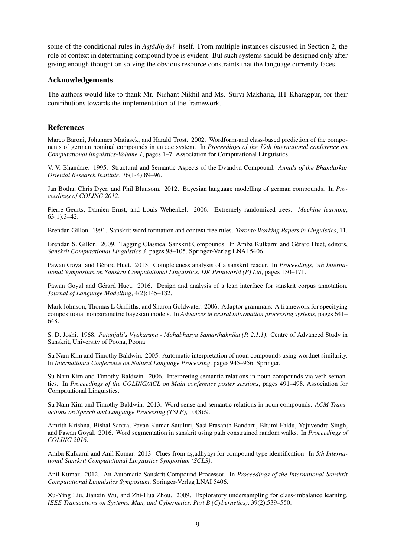some of the conditional rules in *Astadhyay itself.* From multiple instances discussed in Section 2, the role of context in determining compound type is evident. But such systems should be designed only after giving enough thought on solving the obvious resource constraints that the language currently faces.

#### Acknowledgements

The authors would like to thank Mr. Nishant Nikhil and Ms. Survi Makharia, IIT Kharagpur, for their contributions towards the implementation of the framework.

#### References

Marco Baroni, Johannes Matiasek, and Harald Trost. 2002. Wordform-and class-based prediction of the components of german nominal compounds in an aac system. In *Proceedings of the 19th international conference on Computational linguistics-Volume 1*, pages 1–7. Association for Computational Linguistics.

V. V. Bhandare. 1995. Structural and Semantic Aspects of the Dvandva Compound. *Annals of the Bhandarkar Oriental Research Institute*, 76(1-4):89–96.

Jan Botha, Chris Dyer, and Phil Blunsom. 2012. Bayesian language modelling of german compounds. In *Proceedings of COLING 2012*.

Pierre Geurts, Damien Ernst, and Louis Wehenkel. 2006. Extremely randomized trees. *Machine learning*, 63(1):3–42.

Brendan Gillon. 1991. Sanskrit word formation and context free rules. *Toronto Working Papers in Linguistics*, 11.

Brendan S. Gillon. 2009. Tagging Classical Sanskrit Compounds. In Amba Kulkarni and Gerard Huet, editors, ´ *Sanskrit Computational Linguistics 3*, pages 98–105. Springer-Verlag LNAI 5406.

Pawan Goyal and Gérard Huet. 2013. Completeness analysis of a sanskrit reader. In *Proceedings, 5th International Symposium on Sanskrit Computational Linguistics. DK Printworld (P) Ltd*, pages 130–171.

Pawan Goyal and Gérard Huet. 2016. Design and analysis of a lean interface for sanskrit corpus annotation. *Journal of Language Modelling*, 4(2):145–182.

Mark Johnson, Thomas L Griffiths, and Sharon Goldwater. 2006. Adaptor grammars: A framework for specifying compositional nonparametric bayesian models. In *Advances in neural information processing systems*, pages 641– 648.

S. D. Joshi. 1968. Patañjali's Vyākaraṇa - Mahābhāṣya Samarthāhnika (P. 2.1.1). Centre of Advanced Study in Sanskrit, University of Poona, Poona.

Su Nam Kim and Timothy Baldwin. 2005. Automatic interpretation of noun compounds using wordnet similarity. In *International Conference on Natural Language Processing*, pages 945–956. Springer.

Su Nam Kim and Timothy Baldwin. 2006. Interpreting semantic relations in noun compounds via verb semantics. In *Proceedings of the COLING/ACL on Main conference poster sessions*, pages 491–498. Association for Computational Linguistics.

Su Nam Kim and Timothy Baldwin. 2013. Word sense and semantic relations in noun compounds. *ACM Transactions on Speech and Language Processing (TSLP)*, 10(3):9.

Amrith Krishna, Bishal Santra, Pavan Kumar Satuluri, Sasi Prasanth Bandaru, Bhumi Faldu, Yajuvendra Singh, and Pawan Goyal. 2016. Word segmentation in sanskrit using path constrained random walks. In *Proceedings of COLING 2016*.

Amba Kulkarni and Anil Kumar. 2013. Clues from astādhyāyī for compound type identification. In 5th Interna*tional Sanskrit Computational Linguistics Symposium (SCLS)*.

Anil Kumar. 2012. An Automatic Sanskrit Compound Processor. In *Proceedings of the International Sanskrit Computational Linguistics Symposium*. Springer-Verlag LNAI 5406.

Xu-Ying Liu, Jianxin Wu, and Zhi-Hua Zhou. 2009. Exploratory undersampling for class-imbalance learning. *IEEE Transactions on Systems, Man, and Cybernetics, Part B (Cybernetics)*, 39(2):539–550.